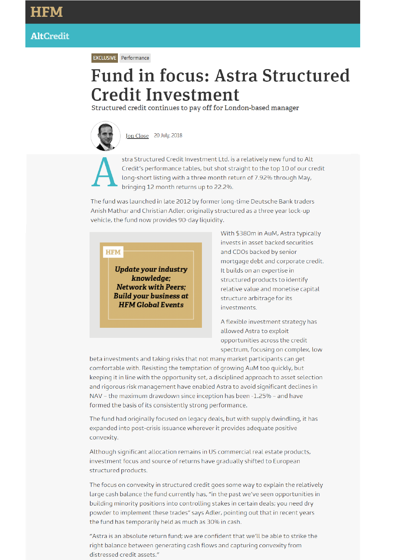**EXCLUSIVE** Performance

## **Fund in focus: Astra Structured Credit Investment**

Structured credit continues to pay off for London-based manager



Jon Close 20 July, 2018

stra Structured Credit Investment Ltd. is a relatively new fund to Alt Credit's performance tables, but shot straight to the top 10 of our credit long-short listing with a three month return of 7.92% through May, bringing 12 month returns up to 22.2%.

The fund was launched in late 2012 by former long-time Deutsche Bank traders Anish Mathur and Christian Adler; originally structured as a three year lock-up vehicle, the fund now provides 90-day liquidity.

**HFM** 

**Update your industry** knowledge; **Network with Peers; Build your business at HFM Global Events** 

With \$380m in AuM, Astra typically invests in asset backed securities and CDOs backed by senior mortgage debt and corporate credit. It builds on an expertise in structured products to identify relative value and monetise capital structure arbitrage for its investments.

A flexible investment strategy has allowed Astra to exploit opportunities across the credit spectrum, focusing on complex, low

beta investments and taking risks that not many market participants can get comfortable with. Resisting the temptation of growing AuM too quickly, but keeping it in line with the opportunity set, a disciplined approach to asset selection and rigorous risk management have enabled Astra to avoid significant declines in NAV - the maximum drawdown since inception has been -1.25% - and have formed the basis of its consistently strong performance.

The fund had originally focused on legacy deals, but with supply dwindling, it has expanded into post-crisis issuance wherever it provides adequate positive convexity.

Although significant allocation remains in US commercial real estate products, investment focus and source of returns have gradually shifted to European structured products.

The focus on convexity in structured credit goes some way to explain the relatively large cash balance the fund currently has, "in the past we've seen opportunities in building minority positions into controlling stakes in certain deals; you need dry powder to implement these trades" says Adler, pointing out that in recent years the fund has temporarily held as much as 30% in cash.

"Astra is an absolute return fund; we are confident that we'll be able to strike the right balance between generating cash flows and capturing convexity from distressed credit assets."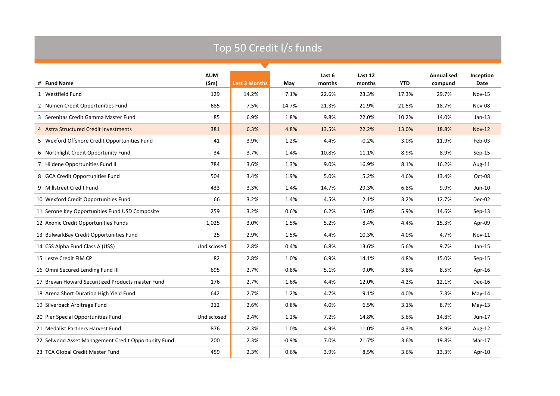|  |  | Top 50 Credit I/s funds |  |
|--|--|-------------------------|--|
|--|--|-------------------------|--|

|                                                     | <b>AUM</b>  |                      |         | Last 6 | Last 12 |            | <b>Annualised</b> | Inception     |
|-----------------------------------------------------|-------------|----------------------|---------|--------|---------|------------|-------------------|---------------|
| # Fund Name                                         | (\$m)       | <b>Last 3 Months</b> | May     | months | months  | <b>YTD</b> | compund           | Date          |
| 1 Westfield Fund                                    | 129         | 14.2%                | 7.1%    | 22.6%  | 23.3%   | 17.3%      | 29.7%             | <b>Nov-15</b> |
| 2 Numen Credit Opportunities Fund                   | 685         | 7.5%                 | 14.7%   | 21.3%  | 21.9%   | 21.5%      | 18.7%             | <b>Nov-08</b> |
| 3 Serenitas Credit Gamma Master Fund                | 85          | 6.9%                 | 1.8%    | 9.8%   | 22.0%   | 10.2%      | 14.0%             | $Jan-13$      |
| 4 Astra Structured Credit Investments               | 381         | 6.3%                 | 4.8%    | 13.5%  | 22.2%   | 13.0%      | 18.8%             | <b>Nov-12</b> |
| 5 Wexford Offshore Credit Opportunities Fund        | 41          | 3.9%                 | 1.2%    | 4.4%   | $-0.2%$ | 3.0%       | 11.9%             | Feb-03        |
| 6 Northlight Credit Opportunity Fund                | 34          | 3.7%                 | 1.4%    | 10.8%  | 11.1%   | 8.9%       | 8.9%              | $Sep-15$      |
| 7 Hildene Opportunities Fund II                     | 784         | 3.6%                 | 1.3%    | 9.0%   | 16.9%   | 8.1%       | 16.2%             | Aug-11        |
| 8 GCA Credit Opportunities Fund                     | 504         | 3.4%                 | 1.9%    | 5.0%   | 5.2%    | 4.6%       | 13.4%             | Oct-08        |
| 9 Millstreet Credit Fund                            | 433         | 3.3%                 | 1.4%    | 14.7%  | 29.3%   | 6.8%       | 9.9%              | $Jun-10$      |
| 10 Wexford Credit Opportunities Fund                | 66          | 3.2%                 | 1.4%    | 4.5%   | 2.1%    | 3.2%       | 12.7%             | Dec-02        |
| 11 Serone Key Opportunities Fund USD Composite      | 259         | 3.2%                 | 0.6%    | 6.2%   | 15.0%   | 5.9%       | 14.6%             | $Sep-13$      |
| 12 Axonic Credit Opportunities Funds                | 1,025       | 3.0%                 | 1.5%    | 5.2%   | 8.4%    | 4.4%       | 15.3%             | Apr-09        |
| 13 BulwarkBay Credit Opportunities Fund             | 25          | 2.9%                 | 1.5%    | 4.4%   | 10.3%   | 4.0%       | 4.7%              | <b>Nov-11</b> |
| 14 CSS Alpha Fund Class A (US\$)                    | Undisclosed | 2.8%                 | 0.4%    | 6.8%   | 13.6%   | 5.6%       | 9.7%              | $Jan-15$      |
| 15 Leste Credit FIM CP                              | 82          | 2.8%                 | 1.0%    | 6.9%   | 14.1%   | 4.8%       | 15.0%             | $Sep-15$      |
| 16 Omni Secured Lending Fund III                    | 695         | 2.7%                 | 0.8%    | 5.1%   | 9.0%    | 3.8%       | 8.5%              | Apr-16        |
| 17 Brevan Howard Securitized Products master Fund   | 176         | 2.7%                 | 1.6%    | 4.4%   | 12.0%   | 4.2%       | 12.1%             | <b>Dec-16</b> |
| 18 Arena Short Duration High Yield Fund             | 642         | 2.7%                 | 1.2%    | 4.7%   | 9.1%    | 4.0%       | 7.3%              | May-14        |
| 19 Silverback Arbitrage Fund                        | 212         | 2.6%                 | 0.8%    | 4.0%   | 6.5%    | 3.1%       | 8.7%              | $May-13$      |
| 20 Pier Special Opportunities Fund                  | Undisclosed | 2.4%                 | 1.2%    | 7.2%   | 14.8%   | 5.6%       | 14.8%             | Jun-17        |
| 21 Medalist Partners Harvest Fund                   | 876         | 2.3%                 | 1.0%    | 4.9%   | 11.0%   | 4.3%       | 8.9%              | Aug-12        |
| 22 Selwood Asset Management Credit Opportunity Fund | 200         | 2.3%                 | $-0.9%$ | 7.0%   | 21.7%   | 3.6%       | 19.8%             | Mar-17        |
| 23 TCA Global Credit Master Fund                    | 459         | 2.3%                 | 0.6%    | 3.9%   | 8.5%    | 3.6%       | 13.3%             | Apr-10        |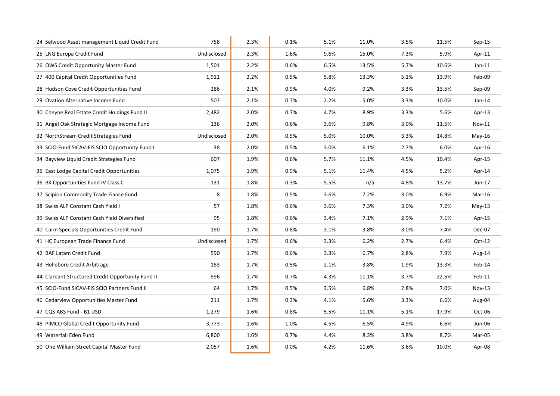| 24 Selwood Asset management Liquid Credit Fund    | 758         | 2.3% | 0.1%    | 5.1% | 11.0% | 3.5% | 11.5% | $Sep-15$ |
|---------------------------------------------------|-------------|------|---------|------|-------|------|-------|----------|
| 25 LNG Europa Credit Fund                         | Undisclosed | 2.3% | 1.6%    | 9.6% | 15.0% | 7.3% | 5.9%  | Apr-11   |
| 26 OWS Credit Opportunity Master Fund             | 1,501       | 2.2% | 0.6%    | 6.5% | 13.5% | 5.7% | 10.6% | $Jan-11$ |
| 27 400 Capital Credit Opportunities Fund          | 1,911       | 2.2% | 0.5%    | 5.8% | 13.3% | 5.1% | 13.9% | Feb-09   |
| 28 Hudson Cove Credit Opportunities Fund          | 286         | 2.1% | 0.9%    | 4.0% | 9.2%  | 3.3% | 13.5% | Sep-09   |
| 29 Ovation Alternative Income Fund                | 507         | 2.1% | 0.7%    | 2.2% | 5.0%  | 3.3% | 10.0% | $Jan-14$ |
| 30 Cheyne Real Estate Credit Holdings Fund II     | 2,482       | 2.0% | 0.7%    | 4.7% | 8.9%  | 3.3% | 5.6%  | Apr-13   |
| 31 Angel Oak Strategic Mortgage Income Fund       | 136         | 2.0% | 0.6%    | 3.6% | 9.8%  | 3.0% | 11.5% | Nov-11   |
| 32 NorthStream Credit Strategies Fund             | Undisclosed | 2.0% | 0.5%    | 5.0% | 10.0% | 3.3% | 14.8% | $May-16$ |
| 33 SCIO-Fund SICAV-FIS SCIO Opportunity Fund I    | 38          | 2.0% | 0.5%    | 3.0% | 6.1%  | 2.7% | 6.0%  | Apr-16   |
| 34 Bayview Liquid Credit Strategies Fund          | 607         | 1.9% | 0.6%    | 5.7% | 11.1% | 4.5% | 10.4% | Apr-15   |
| 35 East Lodge Capital Credit Opportunities        | 1,075       | 1.9% | 0.9%    | 5.1% | 11.4% | 4.5% | 5.2%  | Apr-14   |
| 36 BK Opportunities Fund IV Class C               | 131         | 1.8% | 0.3%    | 5.5% | n/a   | 4.8% | 13.7% | Jun-17   |
| 37 Scipion Commodity Trade Fiance Fund            | 8           | 1.8% | 0.5%    | 3.6% | 7.2%  | 3.0% | 6.9%  | Mar-16   |
| 38 Swiss ALP Constant Cash Yield I                | 57          | 1.8% | 0.6%    | 3.6% | 7.3%  | 3.0% | 7.2%  | $May-13$ |
| 39 Swiss ALP Constant Cash Yield Diversified      | 95          | 1.8% | 0.6%    | 3.4% | 7.1%  | 2.9% | 7.1%  | Apr-15   |
| 40 Cairn Specials Opportunities Credit Fund       | 190         | 1.7% | 0.8%    | 3.1% | 3.8%  | 3.0% | 7.4%  | Dec-07   |
| 41 HC European Trade Finance Fund                 | Undisclosed | 1.7% | 0.6%    | 3.3% | 6.2%  | 2.7% | 6.4%  | $Oct-12$ |
| 42 BAF Latam Credit Fund                          | 590         | 1.7% | 0.6%    | 3.3% | 6.7%  | 2.8% | 7.9%  | Aug-14   |
| 43 Hellebore Credit Arbitrage                     | 183         | 1.7% | $-0.5%$ | 2.1% | 3.8%  | 1.9% | 13.3% | Feb-14   |
| 44 Clareant Structured Credit Opportunity Fund II | 596         | 1.7% | 0.7%    | 4.3% | 11.1% | 3.7% | 22.5% | Feb-11   |
| 45 SCIO-Fund SICAV-FIS SCIO Partners Fund II      | 64          | 1.7% | 0.5%    | 3.5% | 6.8%  | 2.8% | 7.0%  | Nov-13   |
| 46 Cedarview Opportunities Master Fund            | 211         | 1.7% | 0.3%    | 4.1% | 5.6%  | 3.3% | 6.6%  | Aug-04   |
| 47 CQS ABS Fund - B1 USD                          | 1,279       | 1.6% | 0.8%    | 5.5% | 11.1% | 5.1% | 17.9% | Oct-06   |
| 48 PIMCO Global Credit Opportunity Fund           | 3,773       | 1.6% | 1.0%    | 4.5% | 6.5%  | 4.9% | 6.6%  | Jun-06   |
| 49 Waterfall Eden Fund                            | 6,800       | 1.6% | 0.7%    | 4.4% | 8.3%  | 3.8% | 8.7%  | Mar-05   |
| 50 One William Street Capital Master Fund         | 2,057       | 1.6% | 0.0%    | 4.2% | 11.6% | 3.6% | 10.0% | Apr-08   |